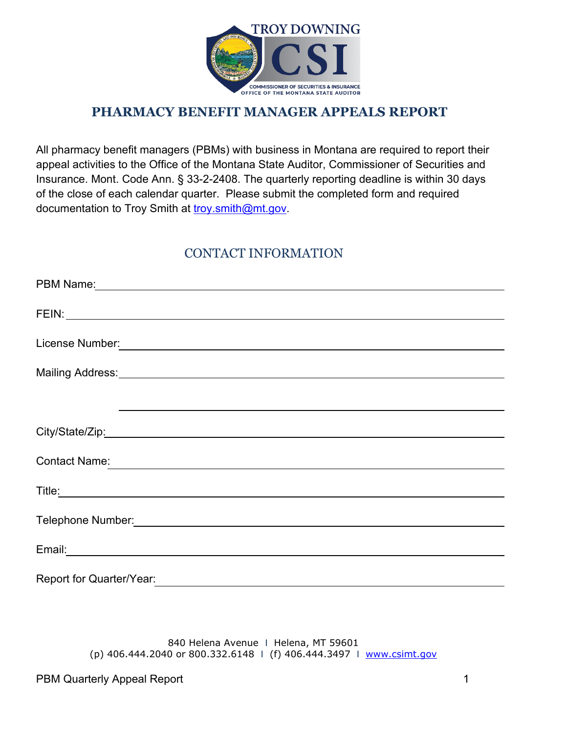

## **PHARMACY BENEFIT MANAGER APPEALS REPORT**

All pharmacy benefit managers (PBMs) with business in Montana are required to report their appeal activities to the Office of the Montana State Auditor, Commissioner of Securities and Insurance. Mont. Code Ann. § 33-2-2408. The quarterly reporting deadline is within 30 days of the close of each calendar quarter. Please submit the completed form and required documentation to Troy Smith at [troy.smith@mt.gov.](mailto:troy.smith@mt.gov)

## CONTACT INFORMATION

| Contact Name: 2008 Contact Name: 2008 Contact Name: 2008 Contact Name: 2008 Contact Name: 2008 Contact Name: 2008 Contact Name: 2008 Contact Name: 2008 Contact Name: 2008 Contact Name: 2008 Contact Name: 2008 Contact Name:       |
|--------------------------------------------------------------------------------------------------------------------------------------------------------------------------------------------------------------------------------------|
|                                                                                                                                                                                                                                      |
| Title: <u>contract and contract and contract and contract and contract and contract and contract and contract and contract and contract and contract and contract and contract and contract and contract and contract and contra</u> |
|                                                                                                                                                                                                                                      |
|                                                                                                                                                                                                                                      |
|                                                                                                                                                                                                                                      |
|                                                                                                                                                                                                                                      |
|                                                                                                                                                                                                                                      |
| Report for Quarter/Year:                                                                                                                                                                                                             |

840 Helena Avenue | Helena, MT 59601 (p) 406.444.2040 or 800.332.6148 I (f) 406.444.3497 I [www.csimt.gov](http://www.csimt.gov/)